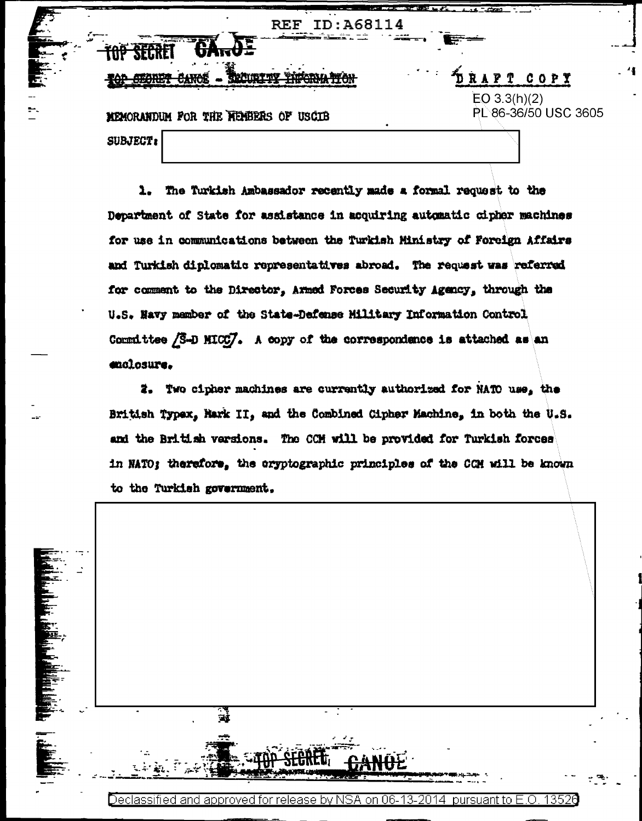|     | TD: 468114<br><b>REF</b>                                             |                      |
|-----|----------------------------------------------------------------------|----------------------|
|     | and the contract of the contract of<br>75<br>$-777$ and $-77$<br>뉴사카 |                      |
| . . | IK <b>ha</b> Aidar<br>ハ 神学入び                                         | 医骨折的<br>RAPT COPY    |
|     |                                                                      | EO 3.3(h)(2)         |
|     | MEMORANDUM FOR THE NEWBERS OF USCIB                                  | PL 86-36/50 USC 3605 |
|     | <b>SUBJECT:</b>                                                      |                      |
|     |                                                                      |                      |

1. The Turkish Ambassador recently made a formal request to the Department of State for assistance in acquiring automatic cipher machines for use in communications between the Turkish Ministry of Foreign Affairs and Turkish diplomatic representatives abroad. The request was referred for comment to the Director, Armed Forces Security Agency, through the U.S. Havy member of the State-Defense Military Information Control Committee /S-D MICC/. A copy of the correspondence is attached as an enclosure.

2. Two cipher machines are currently authorized for NATO use, the British Typex, Hark II, and the Combined Cipher Machine, in both the U.S. and the British versions. The CCH will be provided for Turkish forces in NATO; therefore, the cryptographic principles of the CCM will be known to the Turkish government.



Declassified and approved for release by NSA on 06-13-2014 pursuant to E.O. 13526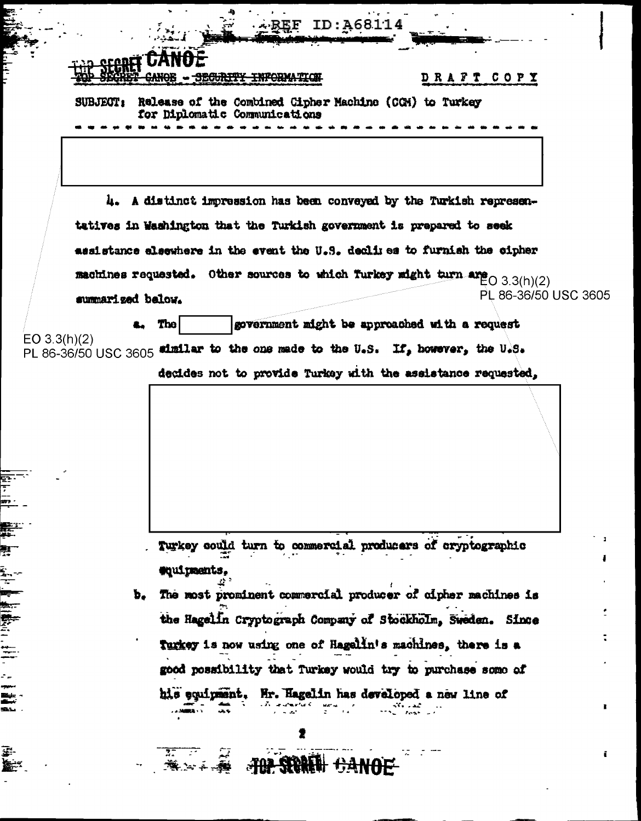| SUBJECT:                             |                                                                                         |                                                              | DRAFT COPY |
|--------------------------------------|-----------------------------------------------------------------------------------------|--------------------------------------------------------------|------------|
|                                      | Release of the Combined Cipher Machine (CCM) to Turkey<br>for Diplomatic Communications |                                                              |            |
|                                      |                                                                                         |                                                              |            |
|                                      |                                                                                         |                                                              |            |
|                                      | 4. A distinct impression has been conveyed by the Turkish represen-                     |                                                              |            |
|                                      | tatives in Washington that the Turkish government is prepared to seek                   |                                                              |            |
|                                      | assistance elsewhere in the event the U.S. dealiyes to furnish the oipher               |                                                              |            |
|                                      | machines requested. Other sources to which furkey might turn are $O(3.3(h)(2))$         |                                                              |            |
| summarized below.                    |                                                                                         | PL 86-36/50 USC 3605                                         |            |
|                                      | The                                                                                     | government might be approached with a request                |            |
| EO 3.3(h)(2)<br>PL 86-36/50 USC 3605 |                                                                                         | similar to the one made to the U.S. If, however, the U.S.    |            |
|                                      |                                                                                         | decides not to provide Turkey with the assistance requested, |            |
|                                      |                                                                                         |                                                              |            |
|                                      |                                                                                         |                                                              |            |
|                                      |                                                                                         |                                                              |            |
|                                      |                                                                                         |                                                              |            |
|                                      |                                                                                         |                                                              |            |
|                                      |                                                                                         |                                                              |            |
|                                      |                                                                                         |                                                              |            |
|                                      |                                                                                         |                                                              |            |
|                                      |                                                                                         | Turkey could turn to commercial producers of cryptographic   |            |
|                                      | equipments,                                                                             |                                                              |            |
| Þ.                                   |                                                                                         | The most prominent commercial producer of cipher machines is |            |
|                                      |                                                                                         | the Hagelin Cryptograph Company of Stockholm, Sweden. Since  |            |
|                                      | Turkey is now using one of Hagelin's machines, there is a                               |                                                              |            |
|                                      |                                                                                         | good possibility that Turkey would try to purchase some of   |            |

 $\tilde{\mathbf{t}}$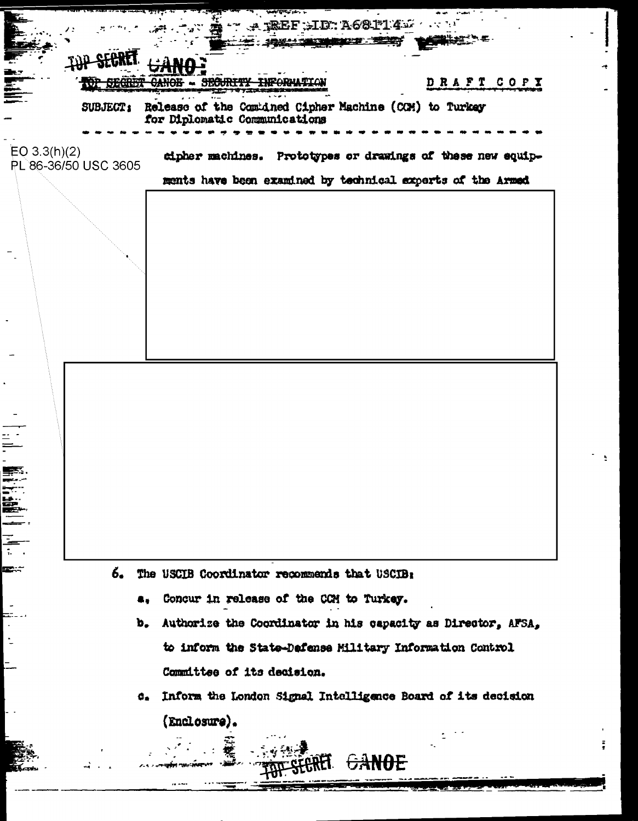|                                      | <b>WATERS AND</b><br>$\sim$ $\sim$ TREF HD. A681145                                     |
|--------------------------------------|-----------------------------------------------------------------------------------------|
|                                      | <b>1. 我们多少了,我们的人们的人们的人们的人们</b>                                                          |
| <b>REMOVAL</b>                       | DRAFT COPY<br>- SEGURIT<br><del>CANOE</del>                                             |
| <b>SUBJECT:</b>                      | Release of the Combined Cipher Machine (CCM) to Turkey<br>for Diplomatic Communications |
| EO 3.3(h)(2)<br>PL 86-36/50 USC 3605 | cipher machines. Prototypes or drawings of these new equip-                             |
|                                      | ments have been examined by technical experts of the Armed                              |
|                                      |                                                                                         |
|                                      |                                                                                         |
|                                      |                                                                                         |
|                                      |                                                                                         |
|                                      |                                                                                         |
|                                      |                                                                                         |
|                                      |                                                                                         |
|                                      |                                                                                         |
|                                      |                                                                                         |
|                                      |                                                                                         |
|                                      |                                                                                         |
| 6.                                   | The USCIB Coordinator recommends that USCIB:                                            |
|                                      | Concur in release of the CCM to Turkey.<br>٠.                                           |
|                                      | Authorize the Coordinator in his capacity as Director, AFSA,<br>b.                      |
|                                      | to inform the State-Dafense Military Information Control                                |
|                                      | Committee of its decision.                                                              |
|                                      | Inform the London Signal Intelligence Board of its decision<br>о.                       |
|                                      | (Enclosure).                                                                            |
|                                      |                                                                                         |

 $\alpha$  -  $\alpha$ 

 $\Delta$